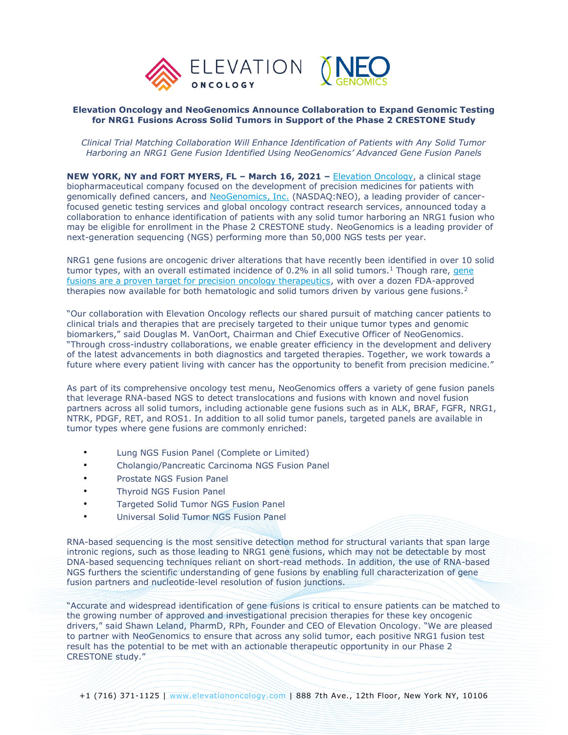

# **Elevation Oncology and NeoGenomics Announce Collaboration to Expand Genomic Testing for NRG1 Fusions Across Solid Tumors in Support of the Phase 2 CRESTONE Study**

*Clinical Trial Matching Collaboration Will Enhance Identification of Patients with Any Solid Tumor Harboring an NRG1 Gene Fusion Identified Using NeoGenomics' Advanced Gene Fusion Panels*

**NEW YORK, NY and FORT MYERS, FL – March 16, 2021 –** [Elevation Oncology,](http://www.elevationoncology.com/) a clinical stage biopharmaceutical company focused on the development of precision medicines for patients with genomically defined cancers, and [NeoGenomics, Inc.](http://www.neogenomics.com/) (NASDAQ:NEO), a leading provider of cancerfocused genetic testing services and global oncology contract research services, announced today a collaboration to enhance identification of patients with any solid tumor harboring an NRG1 fusion who may be eligible for enrollment in the Phase 2 CRESTONE study. NeoGenomics is a leading provider of next-generation sequencing (NGS) performing more than 50,000 NGS tests per year.

NRG1 gene fusions are oncogenic driver alterations that have recently been identified in over 10 solid tumor types, with an overall estimated incidence of 0.2% in all solid tumors.<sup>1</sup> Though rare, gene [fusions are a proven target for precision oncology therapeutics,](https://www.elevationoncology.com/targeting-gene-fusions-in-oncology-proven-approach-promising-future/) with over a dozen FDA-approved therapies now available for both hematologic and solid tumors driven by various gene fusions.<sup>2</sup>

"Our collaboration with Elevation Oncology reflects our shared pursuit of matching cancer patients to clinical trials and therapies that are precisely targeted to their unique tumor types and genomic biomarkers," said Douglas M. VanOort, Chairman and Chief Executive Officer of NeoGenomics. "Through cross-industry collaborations, we enable greater efficiency in the development and delivery of the latest advancements in both diagnostics and targeted therapies. Together, we work towards a future where every patient living with cancer has the opportunity to benefit from precision medicine."

As part of its comprehensive oncology test menu, NeoGenomics offers a variety of gene fusion panels that leverage RNA-based NGS to detect translocations and fusions with known and novel fusion partners across all solid tumors, including actionable gene fusions such as in ALK, BRAF, FGFR, NRG1, NTRK, PDGF, RET, and ROS1. In addition to all solid tumor panels, targeted panels are available in tumor types where gene fusions are commonly enriched:

- Lung NGS Fusion Panel (Complete or Limited)
- Cholangio/Pancreatic Carcinoma NGS Fusion Panel
- Prostate NGS Fusion Panel
- Thyroid NGS Fusion Panel
- Targeted Solid Tumor NGS Fusion Panel
- Universal Solid Tumor NGS Fusion Panel

RNA-based sequencing is the most sensitive detection method for structural variants that span large intronic regions, such as those leading to NRG1 gene fusions, which may not be detectable by most DNA-based sequencing techniques reliant on short-read methods. In addition, the use of RNA-based NGS furthers the scientific understanding of gene fusions by enabling full characterization of gene fusion partners and nucleotide-level resolution of fusion junctions.

"Accurate and widespread identification of gene fusions is critical to ensure patients can be matched to the growing number of approved and investigational precision therapies for these key oncogenic drivers," said Shawn Leland, PharmD, RPh, Founder and CEO of Elevation Oncology. "We are pleased to partner with NeoGenomics to ensure that across any solid tumor, each positive NRG1 fusion test result has the potential to be met with an actionable therapeutic opportunity in our Phase 2 CRESTONE study."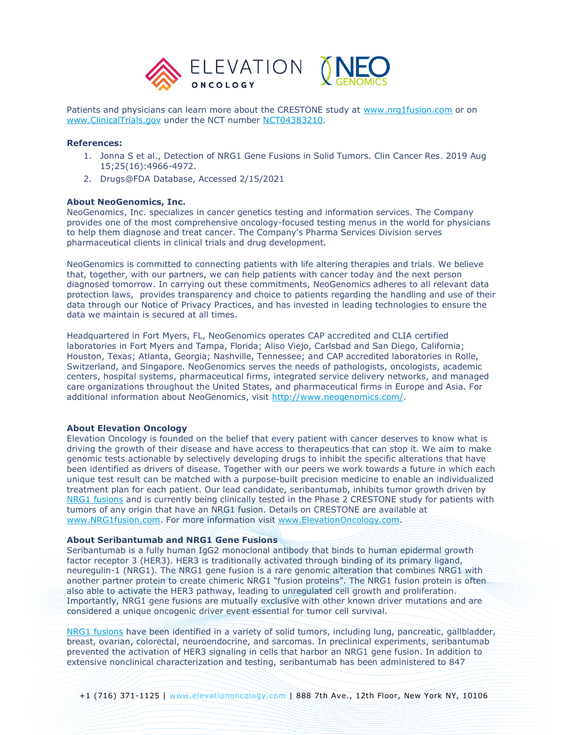

Patients and physicians can learn more about the CRESTONE study at [www.nrg1fusion.com](http://www.nrg1fusion.com/) or on [www.ClinicalTrials.gov](http://www.clinicaltrials.gov/) under the NCT number [NCT04383210.](https://clinicaltrials.gov/ct2/show/NCT04383210)

# **References:**

- 1. Jonna S et al., Detection of NRG1 Gene Fusions in Solid Tumors. Clin Cancer Res. 2019 Aug 15;25(16):4966-4972.
- 2. Drugs@FDA Database, Accessed 2/15/2021

### **About NeoGenomics, Inc.**

NeoGenomics, Inc. specializes in cancer genetics testing and information services. The Company provides one of the most comprehensive oncology-focused testing menus in the world for physicians to help them diagnose and treat cancer. The Company's Pharma Services Division serves pharmaceutical clients in clinical trials and drug development.

NeoGenomics is committed to connecting patients with life altering therapies and trials. We believe that, together, with our partners, we can help patients with cancer today and the next person diagnosed tomorrow. In carrying out these commitments, NeoGenomics adheres to all relevant data protection laws, provides transparency and choice to patients regarding the handling and use of their data through our [Notice of Privacy Practices,](https://neogenomics.com/company/regulatory-and-licensing/health-privacy-practices) and has invested in leading technologies to ensure the data we maintain is secured at all times.

Headquartered in Fort Myers, FL, NeoGenomics operates CAP accredited and CLIA certified laboratories in Fort Myers and Tampa, Florida; Aliso Viejo, Carlsbad and San Diego, California; Houston, Texas; Atlanta, Georgia; Nashville, Tennessee; and CAP accredited laboratories in Rolle, Switzerland, and Singapore. NeoGenomics serves the needs of pathologists, oncologists, academic centers, hospital systems, pharmaceutical firms, integrated service delivery networks, and managed care organizations throughout the United States, and pharmaceutical firms in Europe and Asia. For additional information about NeoGenomics, visit [http://www.neogenomics.com/.](http://www.neogenomics.com/)

#### **About Elevation Oncology**

Elevation Oncology is founded on the belief that every patient with cancer deserves to know what is driving the growth of their disease and have access to therapeutics that can stop it. We aim to make genomic tests actionable by selectively developing drugs to inhibit the specific alterations that have been identified as drivers of disease. Together with our peers we work towards a future in which each unique test result can be matched with a purpose-built precision medicine to enable an individualized treatment plan for each patient. Our lead candidate, seribantumab, inhibits tumor growth driven by [NRG1 fusions](http://www.nrg1fusion.com/science) and is currently being clinically tested in the Phase 2 CRESTONE study for patients with tumors of any origin that have an NRG1 fusion. Details on CRESTONE are available at [www.NRG1fusion.com.](http://www.nrg1fusion.com/) For more information visit [www.ElevationOncology.com.](http://www.elevationoncology.com/)

#### **About Seribantumab and NRG1 Gene Fusions**

Seribantumab is a fully human IgG2 monoclonal antibody that binds to human epidermal growth factor receptor 3 (HER3). HER3 is traditionally activated through binding of its primary ligand, neuregulin-1 (NRG1). The NRG1 gene fusion is a rare genomic alteration that combines NRG1 with another partner protein to create chimeric NRG1 "fusion proteins". The NRG1 fusion protein is often also able to activate the HER3 pathway, leading to unregulated cell growth and proliferation. Importantly, NRG1 gene fusions are mutually exclusive with other known driver mutations and are considered a unique oncogenic driver event essential for tumor cell survival.

[NRG1 fusions](http://www.nrg1fusion.com/science) have been identified in a variety of solid tumors, including lung, pancreatic, gallbladder, breast, ovarian, colorectal, neuroendocrine, and sarcomas. In preclinical experiments, seribantumab prevented the activation of HER3 signaling in cells that harbor an NRG1 gene fusion. In addition to extensive nonclinical characterization and testing, seribantumab has been administered to 847